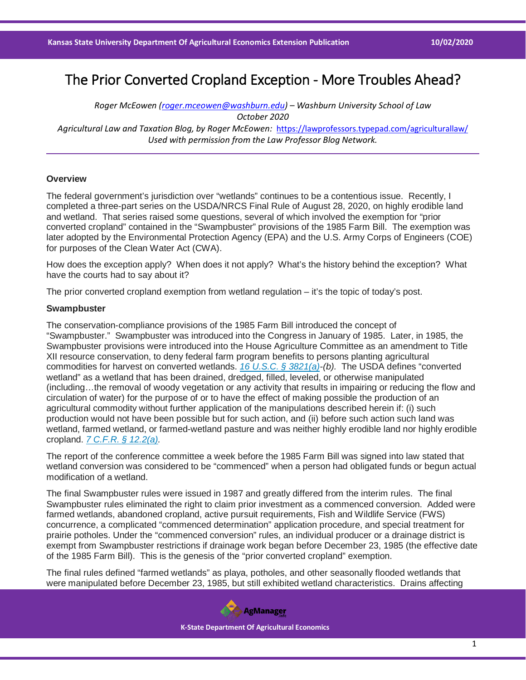# The Prior Converted Cropland Exception - More Troubles Ahead?

*Roger McEowen [\(roger.mceowen@washburn.edu\)](mailto:roger.mceowen@washburn.edu) – Washburn University School of Law October 2020 Agricultural Law and Taxation Blog, by Roger McEowen:* <https://lawprofessors.typepad.com/agriculturallaw/> *Used with permission from the Law Professor Blog Network.* 

## **Overview**

The federal government's jurisdiction over "wetlands" continues to be a contentious issue. Recently, I completed a three-part series on the USDA/NRCS Final Rule of August 28, 2020, on highly erodible land and wetland. That series raised some questions, several of which involved the exemption for "prior converted cropland" contained in the "Swampbuster" provisions of the 1985 Farm Bill. The exemption was later adopted by the Environmental Protection Agency (EPA) and the U.S. Army Corps of Engineers (COE) for purposes of the Clean Water Act (CWA).

How does the exception apply? When does it not apply? What's the history behind the exception? What have the courts had to say about it?

The prior converted cropland exemption from wetland regulation – it's the topic of today's post.

### **Swampbuster**

The conservation-compliance provisions of the 1985 Farm Bill introduced the concept of "Swampbuster." Swampbuster was introduced into the Congress in January of 1985. Later, in 1985, the Swampbuster provisions were introduced into the House Agriculture Committee as an amendment to Title XII resource conservation, to deny federal farm program benefits to persons planting agricultural commodities for harvest on converted wetlands. *[16 U.S.C. § 3821\(a\)-](https://casetext.com/statute/united-states-code/title-16-conservation/chapter-58-erodible-land-and-wetland-conservation-and-reserve-program/subchapter-iii-wetland-conservation/section-3821-program-ineligibility?ref=ArRBZs!Fr2RhV)(b).* The USDA defines "converted wetland" as a wetland that has been drained, dredged, filled, leveled, or otherwise manipulated (including…the removal of woody vegetation or any activity that results in impairing or reducing the flow and circulation of water) for the purpose of or to have the effect of making possible the production of an agricultural commodity without further application of the manipulations described herein if: (i) such production would not have been possible but for such action, and (ii) before such action such land was wetland, farmed wetland, or farmed-wetland pasture and was neither highly erodible land nor highly erodible cropland. *[7 C.F.R. § 12.2\(a\).](https://casetext.com/regulation/code-of-federal-regulations/title-7-agriculture/subtitle-a-office-of-the-secretary-of-agriculture/part-12-highly-erodible-land-conservation-and-wetland-conservation/subpart-a-general-provisions/122-definitions?ref=ArRBZs!TLP4lw)*

The report of the conference committee a week before the 1985 Farm Bill was signed into law stated that wetland conversion was considered to be "commenced" when a person had obligated funds or begun actual modification of a wetland.

The final Swampbuster rules were issued in 1987 and greatly differed from the interim rules. The final Swampbuster rules eliminated the right to claim prior investment as a commenced conversion. Added were farmed wetlands, abandoned cropland, active pursuit requirements, Fish and Wildlife Service (FWS) concurrence, a complicated "commenced determination" application procedure, and special treatment for prairie potholes. Under the "commenced conversion" rules, an individual producer or a drainage district is exempt from Swampbuster restrictions if drainage work began before December 23, 1985 (the effective date of the 1985 Farm Bill). This is the genesis of the "prior converted cropland" exemption.

The final rules defined "farmed wetlands" as playa, potholes, and other seasonally flooded wetlands that were manipulated before December 23, 1985, but still exhibited wetland characteristics. Drains affecting

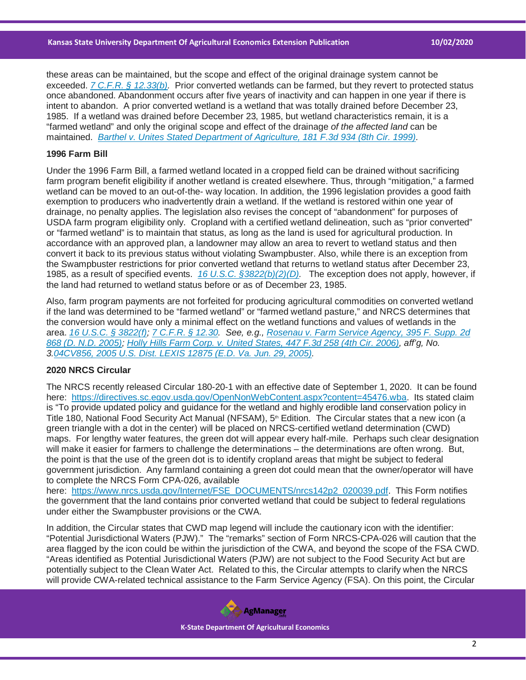these areas can be maintained, but the scope and effect of the original drainage system cannot be exceeded. *[7 C.F.R. § 12.33\(b\).](https://casetext.com/regulation/code-of-federal-regulations/title-7-agriculture/subtitle-a-office-of-the-secretary-of-agriculture/part-12-highly-erodible-land-conservation-and-wetland-conservation/subpart-c-wetland-conservation/1233-use-of-wetland-and-converted-wetland?ref=ArRBZs!rUiH4-)* Prior converted wetlands can be farmed, but they revert to protected status once abandoned. Abandonment occurs after five years of inactivity and can happen in one year if there is intent to abandon. A prior converted wetland is a wetland that was totally drained before December 23, 1985. If a wetland was drained before December 23, 1985, but wetland characteristics remain, it is a "farmed wetland" and only the original scope and effect of the drainage *of the affected land* can be maintained. *[Barthel v. Unites Stated Department of Agriculture, 181 F.3d 934 \(8th Cir. 1999\).](https://casetext.com/case/barthel-v-us-department-of-agriculture?ref=ArRBZs!b3VLzU)*

#### **1996 Farm Bill**

Under the 1996 Farm Bill, a farmed wetland located in a cropped field can be drained without sacrificing farm program benefit eligibility if another wetland is created elsewhere. Thus, through "mitigation," a farmed wetland can be moved to an out-of-the- way location. In addition, the 1996 legislation provides a good faith exemption to producers who inadvertently drain a wetland. If the wetland is restored within one year of drainage, no penalty applies. The legislation also revises the concept of "abandonment" for purposes of USDA farm program eligibility only. Cropland with a certified wetland delineation, such as "prior converted" or "farmed wetland" is to maintain that status, as long as the land is used for agricultural production. In accordance with an approved plan, a landowner may allow an area to revert to wetland status and then convert it back to its previous status without violating Swampbuster. Also, while there is an exception from the Swampbuster restrictions for prior converted wetland that returns to wetland status after December 23, 1985, as a result of specified events. *[16 U.S.C. §3822\(b\)\(2\)\(D\).](https://casetext.com/statute/united-states-code/title-16-conservation/chapter-58-erodible-land-and-wetland-conservation-and-reserve-program/subchapter-iii-wetland-conservation/section-3822-delineation-of-wetlands-exemptions?ref=ArRBZs!a91R7y)* The exception does not apply, however, if the land had returned to wetland status before or as of December 23, 1985.

Also, farm program payments are not forfeited for producing agricultural commodities on converted wetland if the land was determined to be "farmed wetland" or "farmed wetland pasture," and NRCS determines that the conversion would have only a minimal effect on the wetland functions and values of wetlands in the area. *[16 U.S.C. § 3822\(f\);](https://casetext.com/statute/united-states-code/title-16-conservation/chapter-58-erodible-land-and-wetland-conservation-and-reserve-program/subchapter-iii-wetland-conservation/section-3822-delineation-of-wetlands-exemptions?ref=ArRBZs!a91R7y) [7 C.F.R. § 12.30.](https://casetext.com/regulation/code-of-federal-regulations/title-7-agriculture/subtitle-a-office-of-the-secretary-of-agriculture/part-12-highly-erodible-land-conservation-and-wetland-conservation/subpart-c-wetland-conservation/1230-nrcs-responsibilities-regarding-wetlands?ref=ArRBZs!YXdCzw) See, e.g., [Rosenau v. Farm Service Agency, 395 F. Supp. 2d](https://casetext.com/case/rosenau-v-farm-service-agency?ref=ArRBZs!K5gec7)  [868 \(D. N.D. 2005\);](https://casetext.com/case/rosenau-v-farm-service-agency?ref=ArRBZs!K5gec7) [Holly Hills Farm Corp. v. United States, 447 F.3d 258 \(4th Cir. 2006\),](https://casetext.com/case/holly-hill-farm-corp-v-us?ref=ArRBZs!mgjWTu) aff'g, No. 3[.04CV856, 2005 U.S. Dist. LEXIS 12875 \(E.D. Va. Jun. 29, 2005\).](https://casetext.com/case/holly-hills-farm-corp-v-us?ref=ArRBZs!nLmM0b)*

## **2020 NRCS Circular**

The NRCS recently released Circular 180-20-1 with an effective date of September 1, 2020. It can be found here: [https://directives.sc.egov.usda.gov/OpenNonWebContent.aspx?content=45476.wba.](https://directives.sc.egov.usda.gov/OpenNonWebContent.aspx?content=45476.wba) Its stated claim is "To provide updated policy and guidance for the wetland and highly erodible land conservation policy in Title 180, National Food Security Act Manual (NFSAM),  $5<sup>th</sup>$  Edition. The Circular states that a new icon (a green triangle with a dot in the center) will be placed on NRCS-certified wetland determination (CWD) maps. For lengthy water features, the green dot will appear every half-mile. Perhaps such clear designation will make it easier for farmers to challenge the determinations – the determinations are often wrong. But, the point is that the use of the green dot is to identify cropland areas that might be subject to federal government jurisdiction. Any farmland containing a green dot could mean that the owner/operator will have to complete the NRCS Form CPA-026, available

here: [https://www.nrcs.usda.gov/Internet/FSE\\_DOCUMENTS/nrcs142p2\\_020039.pdf.](https://www.nrcs.usda.gov/Internet/FSE_DOCUMENTS/nrcs142p2_020039.pdf) This Form notifies the government that the land contains prior converted wetland that could be subject to federal regulations under either the Swampbuster provisions or the CWA.

In addition, the Circular states that CWD map legend will include the cautionary icon with the identifier: "Potential Jurisdictional Waters (PJW)." The "remarks" section of Form NRCS-CPA-026 will caution that the area flagged by the icon could be within the jurisdiction of the CWA, and beyond the scope of the FSA CWD. "Areas identified as Potential Jurisdictional Waters (PJW) are not subject to the Food Security Act but are potentially subject to the Clean Water Act. Related to this, the Circular attempts to clarify when the NRCS will provide CWA-related technical assistance to the Farm Service Agency (FSA). On this point, the Circular

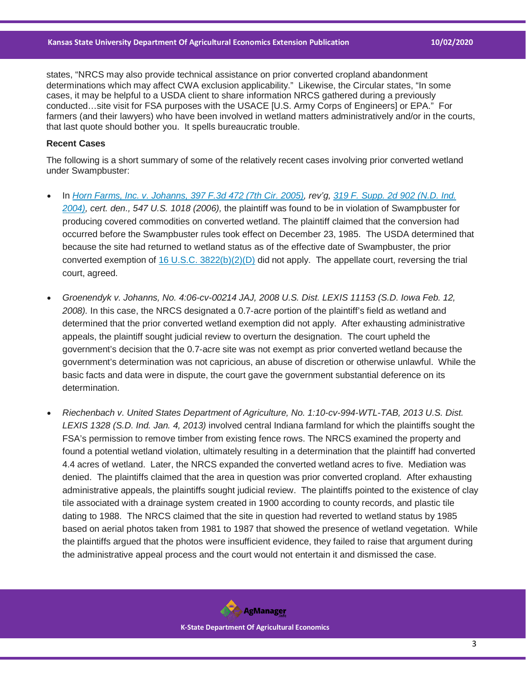states, "NRCS may also provide technical assistance on prior converted cropland abandonment determinations which may affect CWA exclusion applicability." Likewise, the Circular states, "In some cases, it may be helpful to a USDA client to share information NRCS gathered during a previously conducted…site visit for FSA purposes with the USACE [U.S. Army Corps of Engineers] or EPA." For farmers (and their lawyers) who have been involved in wetland matters administratively and/or in the courts, that last quote should bother you. It spells bureaucratic trouble.

## **Recent Cases**

The following is a short summary of some of the relatively recent cases involving prior converted wetland under Swampbuster:

- In *[Horn Farms, Inc. v. Johanns, 397 F.3d 472 \(7th Cir. 2005\),](https://casetext.com/case/horn-farms-inc-v-johanns-2?ref=ArRBZs!tkJyYm) rev'g, [319 F. Supp. 2d 902 \(N.D. Ind.](https://casetext.com/case/horn-farms?ref=ArRBZs!qaLBWr)  [2004\),](https://casetext.com/case/horn-farms?ref=ArRBZs!qaLBWr) cert. den., 547 U.S. 1018 (2006),* the plaintiff was found to be in violation of Swampbuster for producing covered commodities on converted wetland. The plaintiff claimed that the conversion had occurred before the Swampbuster rules took effect on December 23, 1985. The USDA determined that because the site had returned to wetland status as of the effective date of Swampbuster, the prior converted exemption of 16 U.S.C.  $3822(b)(2)(D)$  did not apply. The appellate court, reversing the trial court, agreed.
- *Groenendyk v. Johanns, No. 4:06-cv-00214 JAJ, 2008 U.S. Dist. LEXIS 11153 (S.D. Iowa Feb. 12, 2008).* In this case, the NRCS designated a 0.7-acre portion of the plaintiff's field as wetland and determined that the prior converted wetland exemption did not apply. After exhausting administrative appeals, the plaintiff sought judicial review to overturn the designation. The court upheld the government's decision that the 0.7-acre site was not exempt as prior converted wetland because the government's determination was not capricious, an abuse of discretion or otherwise unlawful. While the basic facts and data were in dispute, the court gave the government substantial deference on its determination.
- *Riechenbach v. United States Department of Agriculture, No. 1:10-cv-994-WTL-TAB, 2013 U.S. Dist. LEXIS 1328 (S.D. Ind. Jan. 4, 2013)* involved central Indiana farmland for which the plaintiffs sought the FSA's permission to remove timber from existing fence rows. The NRCS examined the property and found a potential wetland violation, ultimately resulting in a determination that the plaintiff had converted 4.4 acres of wetland. Later, the NRCS expanded the converted wetland acres to five. Mediation was denied. The plaintiffs claimed that the area in question was prior converted cropland. After exhausting administrative appeals, the plaintiffs sought judicial review. The plaintiffs pointed to the existence of clay tile associated with a drainage system created in 1900 according to county records, and plastic tile dating to 1988. The NRCS claimed that the site in question had reverted to wetland status by 1985 based on aerial photos taken from 1981 to 1987 that showed the presence of wetland vegetation. While the plaintiffs argued that the photos were insufficient evidence, they failed to raise that argument during the administrative appeal process and the court would not entertain it and dismissed the case.